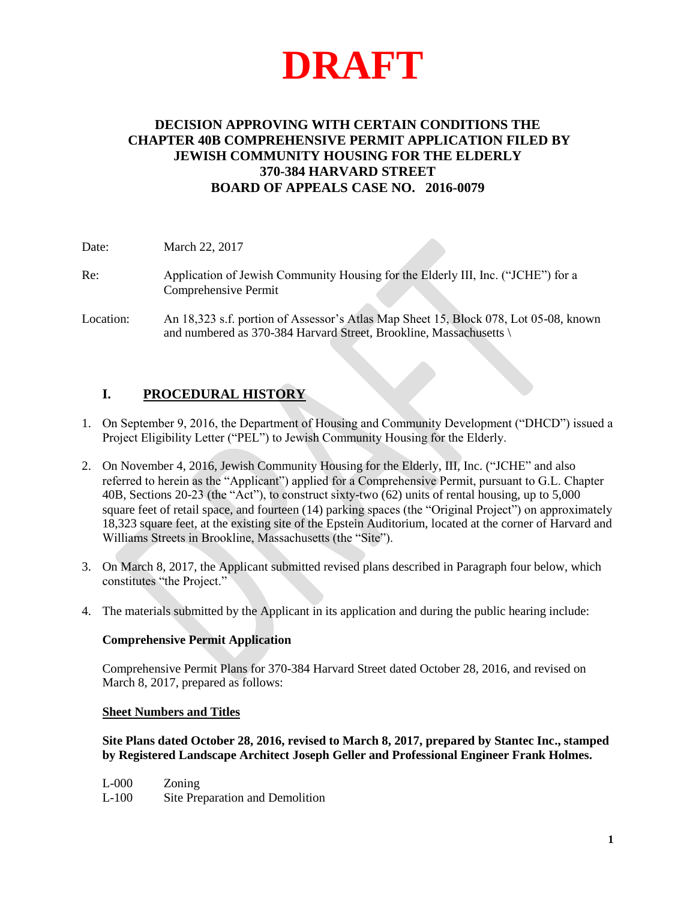

## **DECISION APPROVING WITH CERTAIN CONDITIONS THE CHAPTER 40B COMPREHENSIVE PERMIT APPLICATION FILED BY JEWISH COMMUNITY HOUSING FOR THE ELDERLY 370-384 HARVARD STREET BOARD OF APPEALS CASE NO. 2016-0079**

Date: March 22, 2017

- Re: Application of Jewish Community Housing for the Elderly III, Inc. ("JCHE") for a Comprehensive Permit
- Location: An 18,323 s.f. portion of Assessor's Atlas Map Sheet 15, Block 078, Lot 05-08, known and numbered as 370-384 Harvard Street, Brookline, Massachusetts \

## **I. PROCEDURAL HISTORY**

- 1. On September 9, 2016, the Department of Housing and Community Development ("DHCD") issued a Project Eligibility Letter ("PEL") to Jewish Community Housing for the Elderly.
- 2. On November 4, 2016, Jewish Community Housing for the Elderly, III, Inc. ("JCHE" and also referred to herein as the "Applicant") applied for a Comprehensive Permit, pursuant to G.L. Chapter 40B, Sections 20-23 (the "Act"), to construct sixty-two (62) units of rental housing, up to 5,000 square feet of retail space, and fourteen (14) parking spaces (the "Original Project") on approximately 18,323 square feet, at the existing site of the Epstein Auditorium, located at the corner of Harvard and Williams Streets in Brookline, Massachusetts (the "Site").
- 3. On March 8, 2017, the Applicant submitted revised plans described in Paragraph four below, which constitutes "the Project."
- 4. The materials submitted by the Applicant in its application and during the public hearing include:

### **Comprehensive Permit Application**

Comprehensive Permit Plans for 370-384 Harvard Street dated October 28, 2016, and revised on March 8, 2017, prepared as follows:

### **Sheet Numbers and Titles**

**Site Plans dated October 28, 2016, revised to March 8, 2017, prepared by Stantec Inc., stamped by Registered Landscape Architect Joseph Geller and Professional Engineer Frank Holmes.** 

L-000 Zoning L-100 Site Preparation and Demolition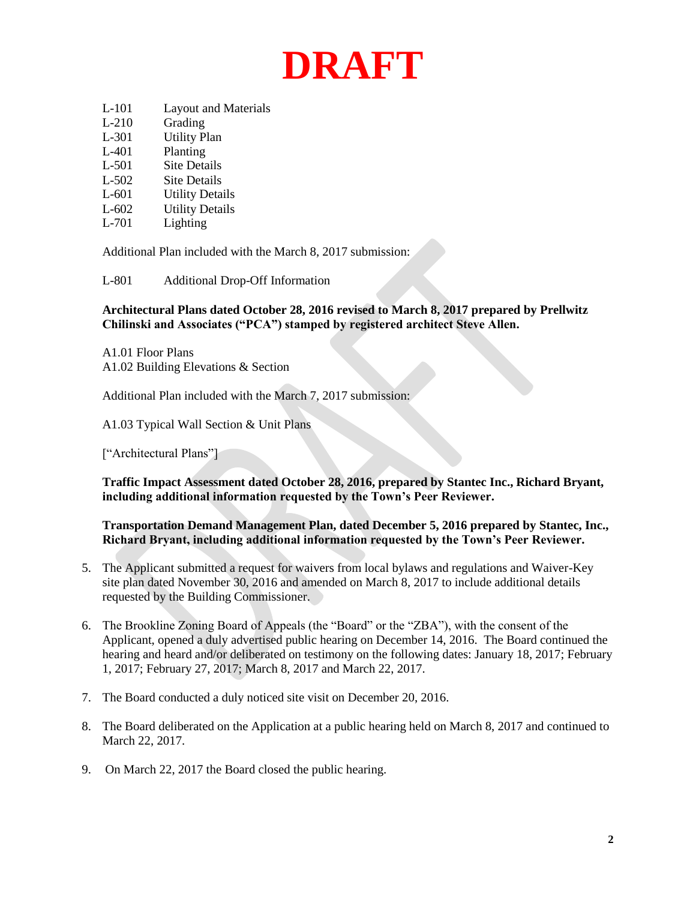

- L-101 Layout and Materials
- L-210 Grading
- L-301 Utility Plan
- L-401 Planting
- L-501 Site Details
- L-502 Site Details
- L-601 Utility Details
- L-602 Utility Details
- L-701 Lighting

Additional Plan included with the March 8, 2017 submission:

L-801 Additional Drop-Off Information

### **Architectural Plans dated October 28, 2016 revised to March 8, 2017 prepared by Prellwitz Chilinski and Associates ("PCA") stamped by registered architect Steve Allen.**

A1.01 Floor Plans A1.02 Building Elevations & Section

Additional Plan included with the March 7, 2017 submission:

A1.03 Typical Wall Section & Unit Plans

["Architectural Plans"]

**Traffic Impact Assessment dated October 28, 2016, prepared by Stantec Inc., Richard Bryant, including additional information requested by the Town's Peer Reviewer.** 

### **Transportation Demand Management Plan, dated December 5, 2016 prepared by Stantec, Inc., Richard Bryant, including additional information requested by the Town's Peer Reviewer.**

- 5. The Applicant submitted a request for waivers from local bylaws and regulations and Waiver-Key site plan dated November 30, 2016 and amended on March 8, 2017 to include additional details requested by the Building Commissioner.
- 6. The Brookline Zoning Board of Appeals (the "Board" or the "ZBA"), with the consent of the Applicant, opened a duly advertised public hearing on December 14, 2016. The Board continued the hearing and heard and/or deliberated on testimony on the following dates: January 18, 2017; February 1, 2017; February 27, 2017; March 8, 2017 and March 22, 2017.
- 7. The Board conducted a duly noticed site visit on December 20, 2016.
- 8. The Board deliberated on the Application at a public hearing held on March 8, 2017 and continued to March 22, 2017.
- 9. On March 22, 2017 the Board closed the public hearing.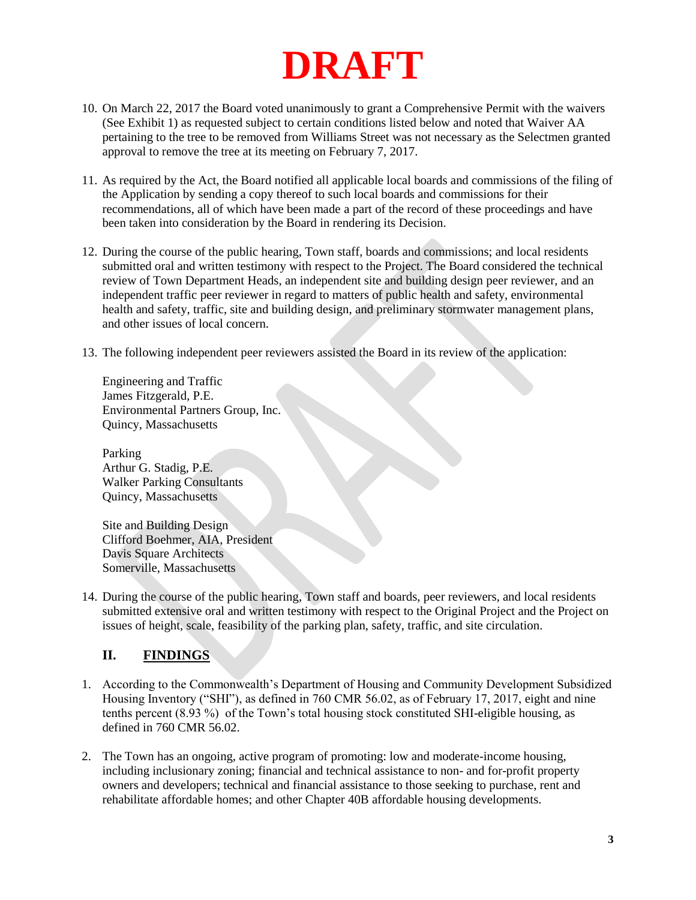

- 10. On March 22, 2017 the Board voted unanimously to grant a Comprehensive Permit with the waivers (See Exhibit 1) as requested subject to certain conditions listed below and noted that Waiver AA pertaining to the tree to be removed from Williams Street was not necessary as the Selectmen granted approval to remove the tree at its meeting on February 7, 2017.
- 11. As required by the Act, the Board notified all applicable local boards and commissions of the filing of the Application by sending a copy thereof to such local boards and commissions for their recommendations, all of which have been made a part of the record of these proceedings and have been taken into consideration by the Board in rendering its Decision.
- 12. During the course of the public hearing, Town staff, boards and commissions; and local residents submitted oral and written testimony with respect to the Project. The Board considered the technical review of Town Department Heads, an independent site and building design peer reviewer, and an independent traffic peer reviewer in regard to matters of public health and safety, environmental health and safety, traffic, site and building design, and preliminary stormwater management plans, and other issues of local concern.
- 13. The following independent peer reviewers assisted the Board in its review of the application:

Engineering and Traffic James Fitzgerald, P.E. Environmental Partners Group, Inc. Quincy, Massachusetts

Parking Arthur G. Stadig, P.E. Walker Parking Consultants Quincy, Massachusetts

Site and Building Design Clifford Boehmer, AIA, President Davis Square Architects Somerville, Massachusetts

14. During the course of the public hearing, Town staff and boards, peer reviewers, and local residents submitted extensive oral and written testimony with respect to the Original Project and the Project on issues of height, scale, feasibility of the parking plan, safety, traffic, and site circulation.

## **II. FINDINGS**

- 1. According to the Commonwealth's Department of Housing and Community Development Subsidized Housing Inventory ("SHI"), as defined in 760 CMR 56.02, as of February 17, 2017, eight and nine tenths percent (8.93 %) of the Town's total housing stock constituted SHI-eligible housing, as defined in 760 CMR 56.02.
- 2. The Town has an ongoing, active program of promoting: low and moderate-income housing, including inclusionary zoning; financial and technical assistance to non- and for-profit property owners and developers; technical and financial assistance to those seeking to purchase, rent and rehabilitate affordable homes; and other Chapter 40B affordable housing developments.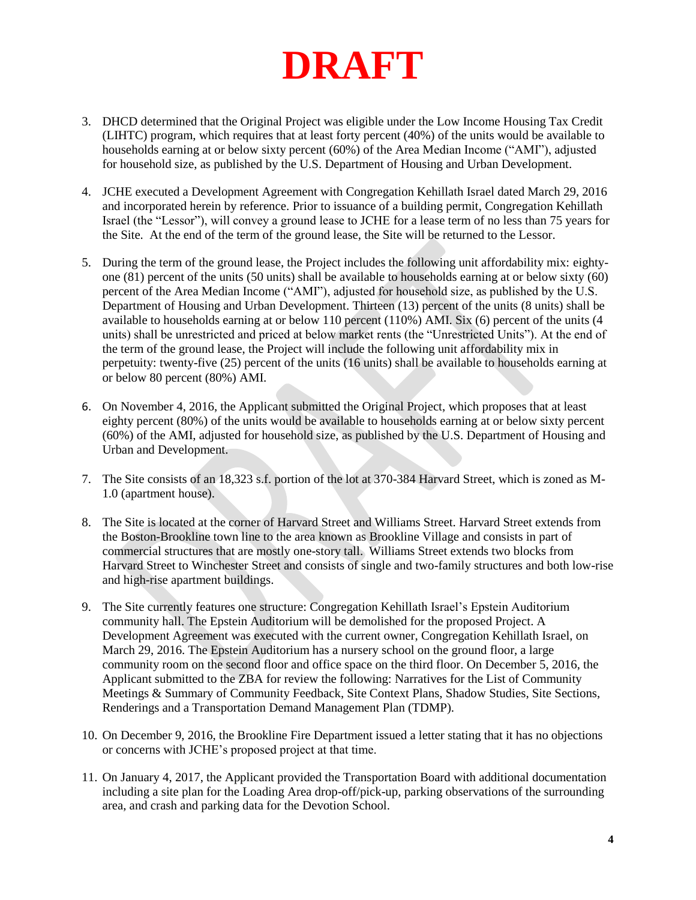- 3. DHCD determined that the Original Project was eligible under the Low Income Housing Tax Credit (LIHTC) program, which requires that at least forty percent (40%) of the units would be available to households earning at or below sixty percent (60%) of the Area Median Income ("AMI"), adjusted for household size, as published by the U.S. Department of Housing and Urban Development.
- 4. JCHE executed a Development Agreement with Congregation Kehillath Israel dated March 29, 2016 and incorporated herein by reference. Prior to issuance of a building permit, Congregation Kehillath Israel (the "Lessor"), will convey a ground lease to JCHE for a lease term of no less than 75 years for the Site. At the end of the term of the ground lease, the Site will be returned to the Lessor.
- 5. During the term of the ground lease, the Project includes the following unit affordability mix: eightyone (81) percent of the units (50 units) shall be available to households earning at or below sixty (60) percent of the Area Median Income ("AMI"), adjusted for household size, as published by the U.S. Department of Housing and Urban Development. Thirteen (13) percent of the units (8 units) shall be available to households earning at or below 110 percent (110%) AMI. Six (6) percent of the units (4 units) shall be unrestricted and priced at below market rents (the "Unrestricted Units"). At the end of the term of the ground lease, the Project will include the following unit affordability mix in perpetuity: twenty-five (25) percent of the units (16 units) shall be available to households earning at or below 80 percent (80%) AMI.
- 6. On November 4, 2016, the Applicant submitted the Original Project, which proposes that at least eighty percent (80%) of the units would be available to households earning at or below sixty percent (60%) of the AMI, adjusted for household size, as published by the U.S. Department of Housing and Urban and Development.
- 7. The Site consists of an 18,323 s.f. portion of the lot at 370-384 Harvard Street, which is zoned as M-1.0 (apartment house).
- 8. The Site is located at the corner of Harvard Street and Williams Street. Harvard Street extends from the Boston-Brookline town line to the area known as Brookline Village and consists in part of commercial structures that are mostly one-story tall. Williams Street extends two blocks from Harvard Street to Winchester Street and consists of single and two-family structures and both low-rise and high-rise apartment buildings.
- 9. The Site currently features one structure: Congregation Kehillath Israel's Epstein Auditorium community hall. The Epstein Auditorium will be demolished for the proposed Project. A Development Agreement was executed with the current owner, Congregation Kehillath Israel, on March 29, 2016. The Epstein Auditorium has a nursery school on the ground floor, a large community room on the second floor and office space on the third floor. On December 5, 2016, the Applicant submitted to the ZBA for review the following: Narratives for the List of Community Meetings & Summary of Community Feedback, Site Context Plans, Shadow Studies, Site Sections, Renderings and a Transportation Demand Management Plan (TDMP).
- 10. On December 9, 2016, the Brookline Fire Department issued a letter stating that it has no objections or concerns with JCHE's proposed project at that time.
- 11. On January 4, 2017, the Applicant provided the Transportation Board with additional documentation including a site plan for the Loading Area drop-off/pick-up, parking observations of the surrounding area, and crash and parking data for the Devotion School.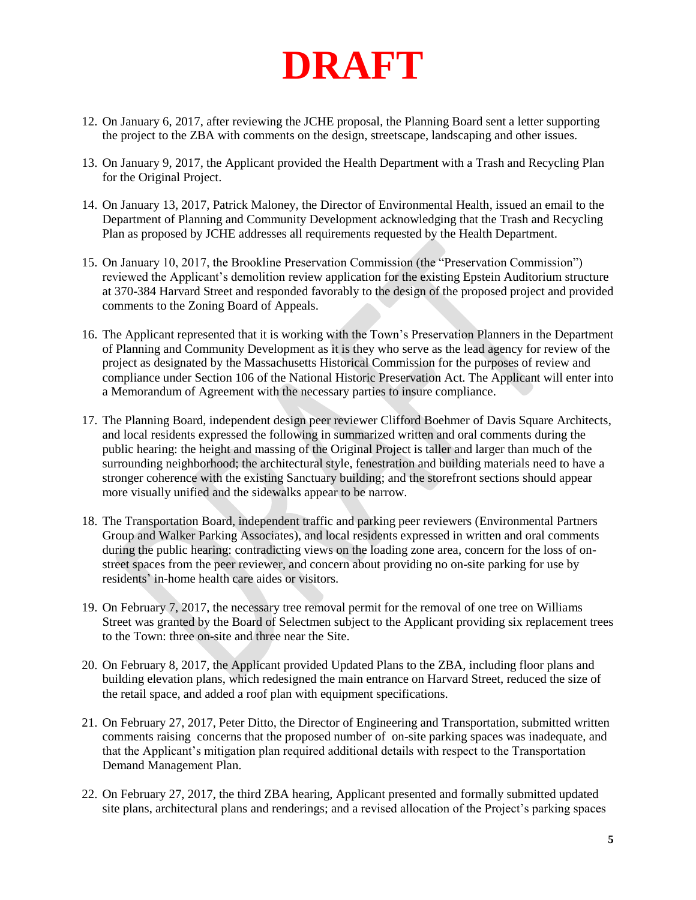- 12. On January 6, 2017, after reviewing the JCHE proposal, the Planning Board sent a letter supporting the project to the ZBA with comments on the design, streetscape, landscaping and other issues.
- 13. On January 9, 2017, the Applicant provided the Health Department with a Trash and Recycling Plan for the Original Project.
- 14. On January 13, 2017, Patrick Maloney, the Director of Environmental Health, issued an email to the Department of Planning and Community Development acknowledging that the Trash and Recycling Plan as proposed by JCHE addresses all requirements requested by the Health Department.
- 15. On January 10, 2017, the Brookline Preservation Commission (the "Preservation Commission") reviewed the Applicant's demolition review application for the existing Epstein Auditorium structure at 370-384 Harvard Street and responded favorably to the design of the proposed project and provided comments to the Zoning Board of Appeals.
- 16. The Applicant represented that it is working with the Town's Preservation Planners in the Department of Planning and Community Development as it is they who serve as the lead agency for review of the project as designated by the Massachusetts Historical Commission for the purposes of review and compliance under Section 106 of the National Historic Preservation Act. The Applicant will enter into a Memorandum of Agreement with the necessary parties to insure compliance.
- 17. The Planning Board, independent design peer reviewer Clifford Boehmer of Davis Square Architects, and local residents expressed the following in summarized written and oral comments during the public hearing: the height and massing of the Original Project is taller and larger than much of the surrounding neighborhood; the architectural style, fenestration and building materials need to have a stronger coherence with the existing Sanctuary building; and the storefront sections should appear more visually unified and the sidewalks appear to be narrow.
- 18. The Transportation Board, independent traffic and parking peer reviewers (Environmental Partners Group and Walker Parking Associates), and local residents expressed in written and oral comments during the public hearing: contradicting views on the loading zone area, concern for the loss of onstreet spaces from the peer reviewer, and concern about providing no on-site parking for use by residents' in-home health care aides or visitors.
- 19. On February 7, 2017, the necessary tree removal permit for the removal of one tree on Williams Street was granted by the Board of Selectmen subject to the Applicant providing six replacement trees to the Town: three on-site and three near the Site.
- 20. On February 8, 2017, the Applicant provided Updated Plans to the ZBA, including floor plans and building elevation plans, which redesigned the main entrance on Harvard Street, reduced the size of the retail space, and added a roof plan with equipment specifications.
- 21. On February 27, 2017, Peter Ditto, the Director of Engineering and Transportation, submitted written comments raising concerns that the proposed number of on-site parking spaces was inadequate, and that the Applicant's mitigation plan required additional details with respect to the Transportation Demand Management Plan.
- 22. On February 27, 2017, the third ZBA hearing, Applicant presented and formally submitted updated site plans, architectural plans and renderings; and a revised allocation of the Project's parking spaces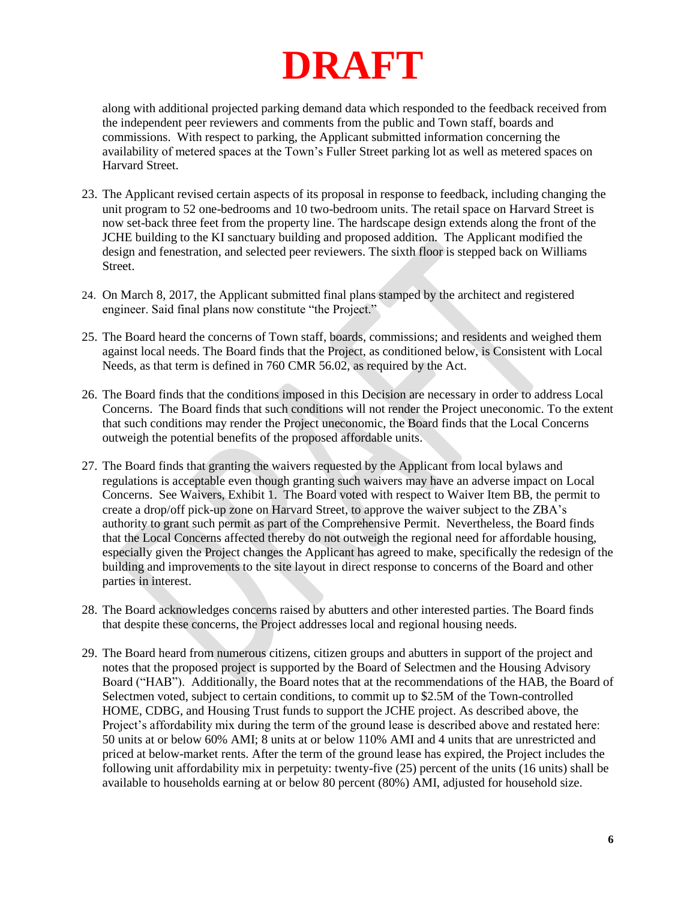

along with additional projected parking demand data which responded to the feedback received from the independent peer reviewers and comments from the public and Town staff, boards and commissions. With respect to parking, the Applicant submitted information concerning the availability of metered spaces at the Town's Fuller Street parking lot as well as metered spaces on Harvard Street.

- 23. The Applicant revised certain aspects of its proposal in response to feedback, including changing the unit program to 52 one-bedrooms and 10 two-bedroom units. The retail space on Harvard Street is now set-back three feet from the property line. The hardscape design extends along the front of the JCHE building to the KI sanctuary building and proposed addition. The Applicant modified the design and fenestration, and selected peer reviewers. The sixth floor is stepped back on Williams Street.
- 24. On March 8, 2017, the Applicant submitted final plans stamped by the architect and registered engineer. Said final plans now constitute "the Project."
- 25. The Board heard the concerns of Town staff, boards, commissions; and residents and weighed them against local needs. The Board finds that the Project, as conditioned below, is Consistent with Local Needs, as that term is defined in 760 CMR 56.02, as required by the Act.
- 26. The Board finds that the conditions imposed in this Decision are necessary in order to address Local Concerns. The Board finds that such conditions will not render the Project uneconomic. To the extent that such conditions may render the Project uneconomic, the Board finds that the Local Concerns outweigh the potential benefits of the proposed affordable units.
- 27. The Board finds that granting the waivers requested by the Applicant from local bylaws and regulations is acceptable even though granting such waivers may have an adverse impact on Local Concerns. See Waivers, Exhibit 1. The Board voted with respect to Waiver Item BB, the permit to create a drop/off pick-up zone on Harvard Street, to approve the waiver subject to the ZBA's authority to grant such permit as part of the Comprehensive Permit. Nevertheless, the Board finds that the Local Concerns affected thereby do not outweigh the regional need for affordable housing, especially given the Project changes the Applicant has agreed to make, specifically the redesign of the building and improvements to the site layout in direct response to concerns of the Board and other parties in interest.
- 28. The Board acknowledges concerns raised by abutters and other interested parties. The Board finds that despite these concerns, the Project addresses local and regional housing needs.
- 29. The Board heard from numerous citizens, citizen groups and abutters in support of the project and notes that the proposed project is supported by the Board of Selectmen and the Housing Advisory Board ("HAB"). Additionally, the Board notes that at the recommendations of the HAB, the Board of Selectmen voted, subject to certain conditions, to commit up to \$2.5M of the Town-controlled HOME, CDBG, and Housing Trust funds to support the JCHE project. As described above, the Project's affordability mix during the term of the ground lease is described above and restated here: 50 units at or below 60% AMI; 8 units at or below 110% AMI and 4 units that are unrestricted and priced at below-market rents. After the term of the ground lease has expired, the Project includes the following unit affordability mix in perpetuity: twenty-five (25) percent of the units (16 units) shall be available to households earning at or below 80 percent (80%) AMI, adjusted for household size.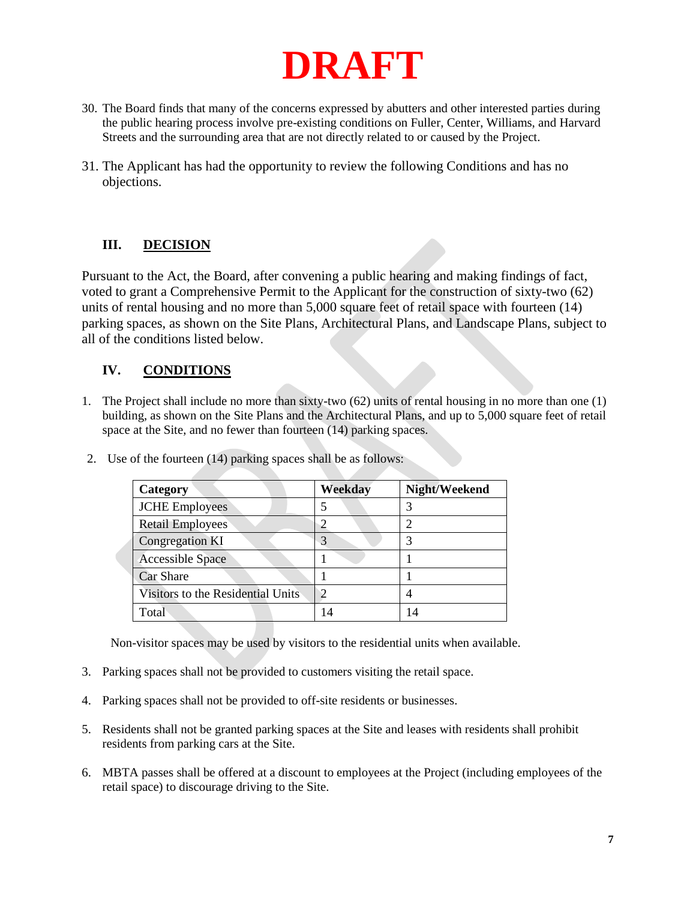- 30. The Board finds that many of the concerns expressed by abutters and other interested parties during the public hearing process involve pre-existing conditions on Fuller, Center, Williams, and Harvard Streets and the surrounding area that are not directly related to or caused by the Project.
- 31. The Applicant has had the opportunity to review the following Conditions and has no objections.

## **III. DECISION**

Pursuant to the Act, the Board, after convening a public hearing and making findings of fact, voted to grant a Comprehensive Permit to the Applicant for the construction of sixty-two (62) units of rental housing and no more than 5,000 square feet of retail space with fourteen (14) parking spaces, as shown on the Site Plans, Architectural Plans, and Landscape Plans, subject to all of the conditions listed below.

## **IV. CONDITIONS**

1. The Project shall include no more than sixty-two (62) units of rental housing in no more than one (1) building, as shown on the Site Plans and the Architectural Plans, and up to 5,000 square feet of retail space at the Site, and no fewer than fourteen (14) parking spaces.

| Category                          | Weekday | Night/Weekend |
|-----------------------------------|---------|---------------|
| <b>JCHE Employees</b>             | 5       |               |
| <b>Retail Employees</b>           |         |               |
| Congregation KI                   | 3       |               |
| Accessible Space                  |         |               |
| Car Share                         |         |               |
| Visitors to the Residential Units | 2       |               |
| Total                             | 14      | 14            |

2. Use of the fourteen (14) parking spaces shall be as follows:

Non-visitor spaces may be used by visitors to the residential units when available.

- 3. Parking spaces shall not be provided to customers visiting the retail space.
- 4. Parking spaces shall not be provided to off-site residents or businesses.
- 5. Residents shall not be granted parking spaces at the Site and leases with residents shall prohibit residents from parking cars at the Site.
- 6. MBTA passes shall be offered at a discount to employees at the Project (including employees of the retail space) to discourage driving to the Site.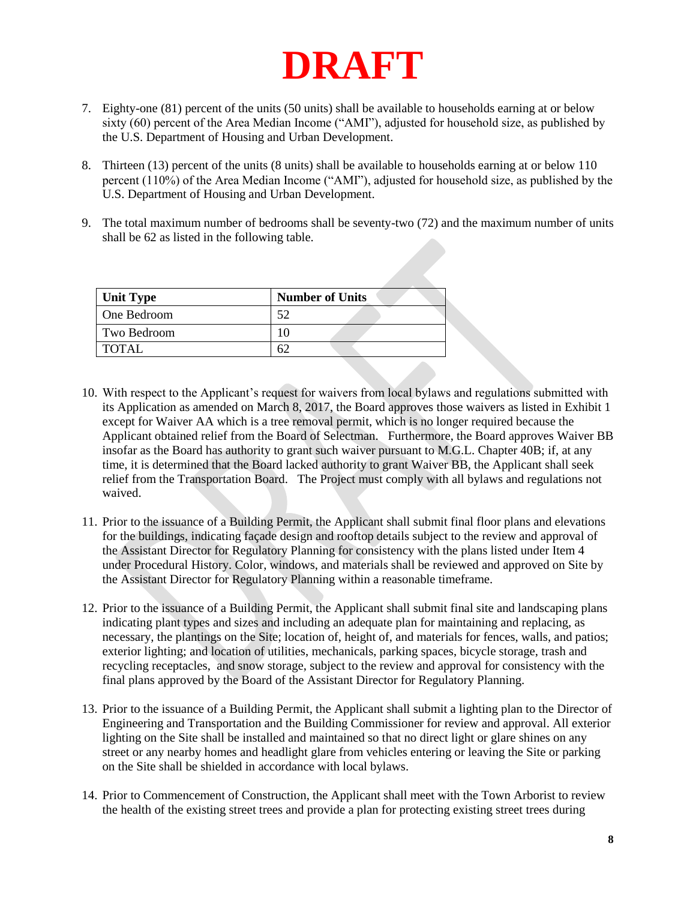

- 7. Eighty-one (81) percent of the units (50 units) shall be available to households earning at or below sixty (60) percent of the Area Median Income ("AMI"), adjusted for household size, as published by the U.S. Department of Housing and Urban Development.
- 8. Thirteen (13) percent of the units (8 units) shall be available to households earning at or below 110 percent (110%) of the Area Median Income ("AMI"), adjusted for household size, as published by the U.S. Department of Housing and Urban Development.
- 9. The total maximum number of bedrooms shall be seventy-two (72) and the maximum number of units shall be 62 as listed in the following table*.*

| <b>Unit Type</b> | <b>Number of Units</b> |  |
|------------------|------------------------|--|
| One Bedroom      |                        |  |
| Two Bedroom      |                        |  |
| <b>TOTAL</b>     |                        |  |

- 10. With respect to the Applicant's request for waivers from local bylaws and regulations submitted with its Application as amended on March 8, 2017, the Board approves those waivers as listed in Exhibit 1 except for Waiver AA which is a tree removal permit, which is no longer required because the Applicant obtained relief from the Board of Selectman. Furthermore, the Board approves Waiver BB insofar as the Board has authority to grant such waiver pursuant to M.G.L. Chapter 40B; if, at any time, it is determined that the Board lacked authority to grant Waiver BB, the Applicant shall seek relief from the Transportation Board. The Project must comply with all bylaws and regulations not waived.
- 11. Prior to the issuance of a Building Permit, the Applicant shall submit final floor plans and elevations for the buildings, indicating façade design and rooftop details subject to the review and approval of the Assistant Director for Regulatory Planning for consistency with the plans listed under Item 4 under Procedural History. Color, windows, and materials shall be reviewed and approved on Site by the Assistant Director for Regulatory Planning within a reasonable timeframe.
- 12. Prior to the issuance of a Building Permit, the Applicant shall submit final site and landscaping plans indicating plant types and sizes and including an adequate plan for maintaining and replacing, as necessary, the plantings on the Site; location of, height of, and materials for fences, walls, and patios; exterior lighting; and location of utilities, mechanicals, parking spaces, bicycle storage, trash and recycling receptacles, and snow storage, subject to the review and approval for consistency with the final plans approved by the Board of the Assistant Director for Regulatory Planning.
- 13. Prior to the issuance of a Building Permit, the Applicant shall submit a lighting plan to the Director of Engineering and Transportation and the Building Commissioner for review and approval. All exterior lighting on the Site shall be installed and maintained so that no direct light or glare shines on any street or any nearby homes and headlight glare from vehicles entering or leaving the Site or parking on the Site shall be shielded in accordance with local bylaws.
- 14. Prior to Commencement of Construction, the Applicant shall meet with the Town Arborist to review the health of the existing street trees and provide a plan for protecting existing street trees during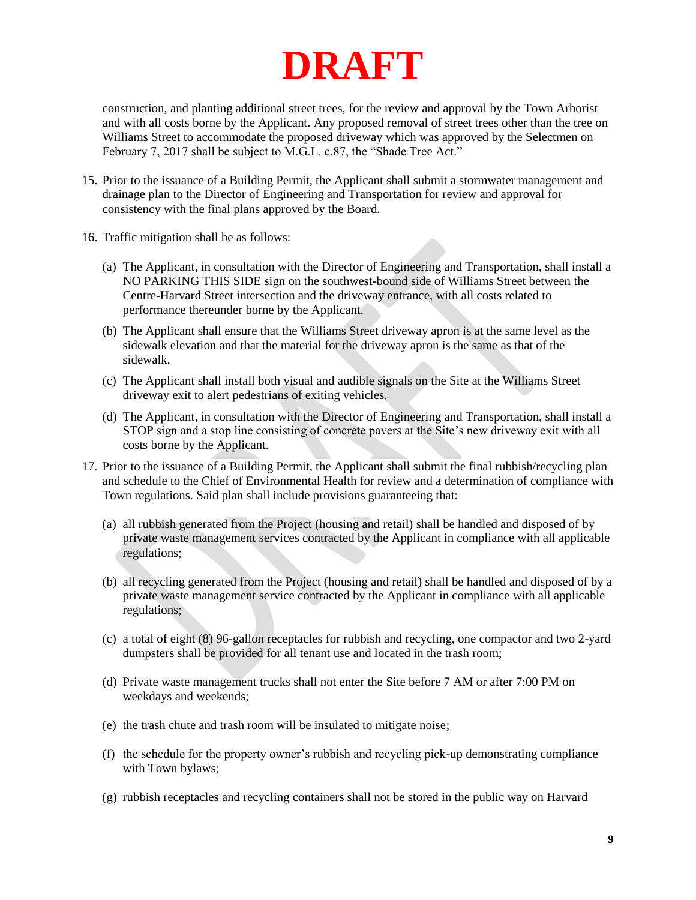

construction, and planting additional street trees, for the review and approval by the Town Arborist and with all costs borne by the Applicant. Any proposed removal of street trees other than the tree on Williams Street to accommodate the proposed driveway which was approved by the Selectmen on February 7, 2017 shall be subject to M.G.L. c.87, the "Shade Tree Act."

- 15. Prior to the issuance of a Building Permit, the Applicant shall submit a stormwater management and drainage plan to the Director of Engineering and Transportation for review and approval for consistency with the final plans approved by the Board.
- 16. Traffic mitigation shall be as follows:
	- (a) The Applicant, in consultation with the Director of Engineering and Transportation, shall install a NO PARKING THIS SIDE sign on the southwest-bound side of Williams Street between the Centre-Harvard Street intersection and the driveway entrance, with all costs related to performance thereunder borne by the Applicant*.*
	- (b) The Applicant shall ensure that the Williams Street driveway apron is at the same level as the sidewalk elevation and that the material for the driveway apron is the same as that of the sidewalk.
	- (c) The Applicant shall install both visual and audible signals on the Site at the Williams Street driveway exit to alert pedestrians of exiting vehicles.
	- (d) The Applicant, in consultation with the Director of Engineering and Transportation, shall install a STOP sign and a stop line consisting of concrete pavers at the Site's new driveway exit with all costs borne by the Applicant.
- 17. Prior to the issuance of a Building Permit, the Applicant shall submit the final rubbish/recycling plan and schedule to the Chief of Environmental Health for review and a determination of compliance with Town regulations. Said plan shall include provisions guaranteeing that:
	- (a) all rubbish generated from the Project (housing and retail) shall be handled and disposed of by private waste management services contracted by the Applicant in compliance with all applicable regulations;
	- (b) all recycling generated from the Project (housing and retail) shall be handled and disposed of by a private waste management service contracted by the Applicant in compliance with all applicable regulations;
	- (c) a total of eight (8) 96-gallon receptacles for rubbish and recycling, one compactor and two 2-yard dumpsters shall be provided for all tenant use and located in the trash room;
	- (d) Private waste management trucks shall not enter the Site before 7 AM or after 7:00 PM on weekdays and weekends;
	- (e) the trash chute and trash room will be insulated to mitigate noise;
	- (f) the schedule for the property owner's rubbish and recycling pick-up demonstrating compliance with Town bylaws;
	- (g) rubbish receptacles and recycling containers shall not be stored in the public way on Harvard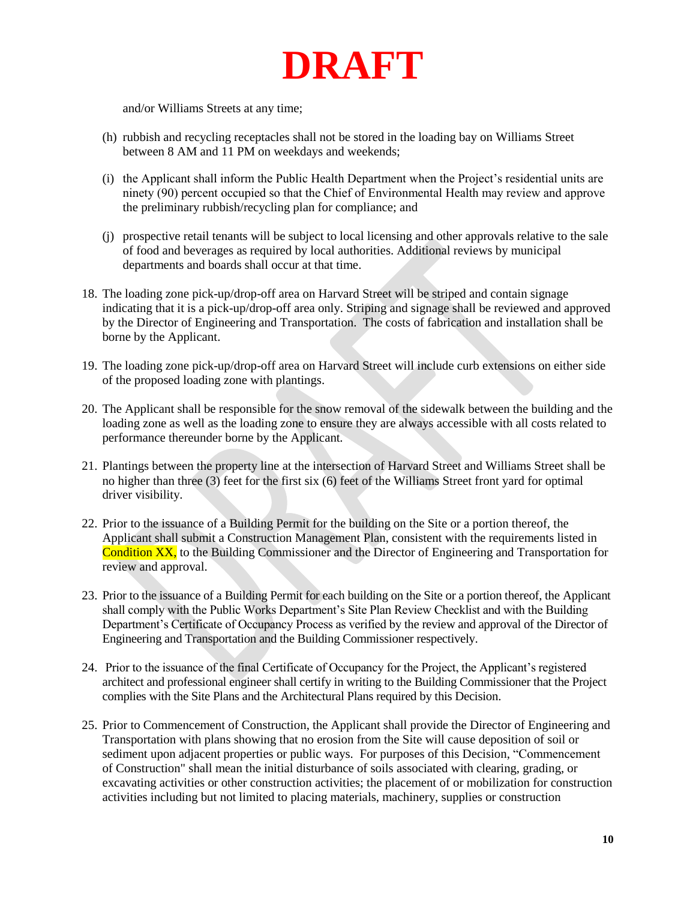

and/or Williams Streets at any time;

- (h) rubbish and recycling receptacles shall not be stored in the loading bay on Williams Street between 8 AM and 11 PM on weekdays and weekends;
- (i) the Applicant shall inform the Public Health Department when the Project's residential units are ninety (90) percent occupied so that the Chief of Environmental Health may review and approve the preliminary rubbish/recycling plan for compliance; and
- (j) prospective retail tenants will be subject to local licensing and other approvals relative to the sale of food and beverages as required by local authorities. Additional reviews by municipal departments and boards shall occur at that time.
- 18. The loading zone pick-up/drop-off area on Harvard Street will be striped and contain signage indicating that it is a pick-up/drop-off area only. Striping and signage shall be reviewed and approved by the Director of Engineering and Transportation. The costs of fabrication and installation shall be borne by the Applicant.
- 19. The loading zone pick-up/drop-off area on Harvard Street will include curb extensions on either side of the proposed loading zone with plantings.
- 20. The Applicant shall be responsible for the snow removal of the sidewalk between the building and the loading zone as well as the loading zone to ensure they are always accessible with all costs related to performance thereunder borne by the Applicant*.*
- 21. Plantings between the property line at the intersection of Harvard Street and Williams Street shall be no higher than three (3) feet for the first six (6) feet of the Williams Street front yard for optimal driver visibility.
- 22. Prior to the issuance of a Building Permit for the building on the Site or a portion thereof, the Applicant shall submit a Construction Management Plan, consistent with the requirements listed in Condition XX, to the Building Commissioner and the Director of Engineering and Transportation for review and approval.
- 23. Prior to the issuance of a Building Permit for each building on the Site or a portion thereof, the Applicant shall comply with the Public Works Department's Site Plan Review Checklist and with the Building Department's Certificate of Occupancy Process as verified by the review and approval of the Director of Engineering and Transportation and the Building Commissioner respectively.
- 24. Prior to the issuance of the final Certificate of Occupancy for the Project, the Applicant's registered architect and professional engineer shall certify in writing to the Building Commissioner that the Project complies with the Site Plans and the Architectural Plans required by this Decision.
- 25. Prior to Commencement of Construction, the Applicant shall provide the Director of Engineering and Transportation with plans showing that no erosion from the Site will cause deposition of soil or sediment upon adjacent properties or public ways. For purposes of this Decision, "Commencement of Construction" shall mean the initial disturbance of soils associated with clearing, grading, or excavating activities or other construction activities; the placement of or mobilization for construction activities including but not limited to placing materials, machinery, supplies or construction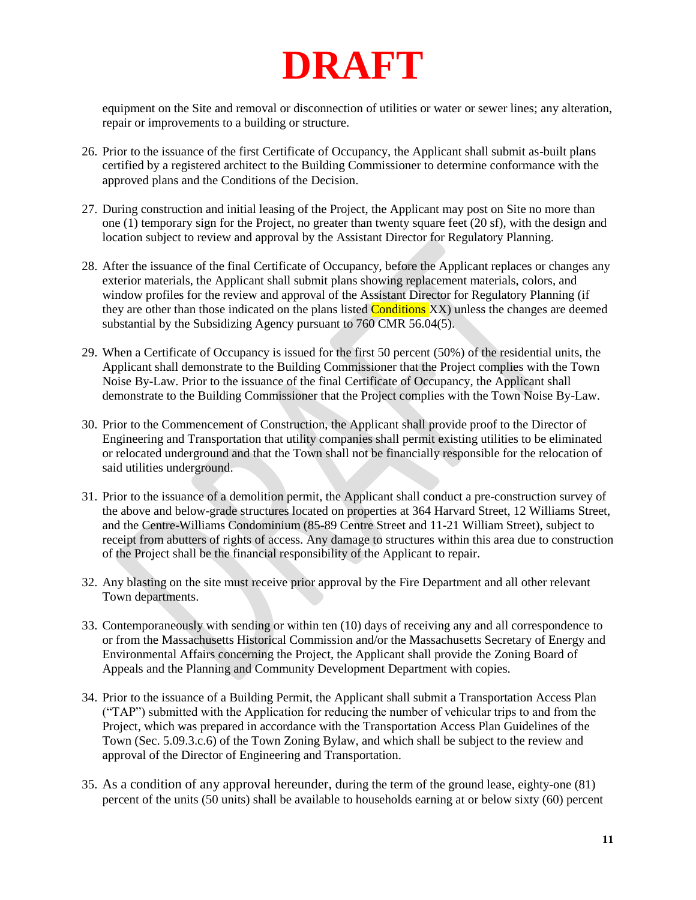equipment on the Site and removal or disconnection of utilities or water or sewer lines; any alteration, repair or improvements to a building or structure.

- 26. Prior to the issuance of the first Certificate of Occupancy, the Applicant shall submit as-built plans certified by a registered architect to the Building Commissioner to determine conformance with the approved plans and the Conditions of the Decision.
- 27. During construction and initial leasing of the Project, the Applicant may post on Site no more than one (1) temporary sign for the Project, no greater than twenty square feet (20 sf), with the design and location subject to review and approval by the Assistant Director for Regulatory Planning.
- 28. After the issuance of the final Certificate of Occupancy, before the Applicant replaces or changes any exterior materials, the Applicant shall submit plans showing replacement materials, colors, and window profiles for the review and approval of the Assistant Director for Regulatory Planning (if they are other than those indicated on the plans listed **Conditions** XX) unless the changes are deemed substantial by the Subsidizing Agency pursuant to 760 CMR 56.04(5).
- 29. When a Certificate of Occupancy is issued for the first 50 percent (50%) of the residential units, the Applicant shall demonstrate to the Building Commissioner that the Project complies with the Town Noise By-Law. Prior to the issuance of the final Certificate of Occupancy, the Applicant shall demonstrate to the Building Commissioner that the Project complies with the Town Noise By-Law.
- 30. Prior to the Commencement of Construction, the Applicant shall provide proof to the Director of Engineering and Transportation that utility companies shall permit existing utilities to be eliminated or relocated underground and that the Town shall not be financially responsible for the relocation of said utilities underground.
- 31. Prior to the issuance of a demolition permit, the Applicant shall conduct a pre-construction survey of the above and below-grade structures located on properties at 364 Harvard Street, 12 Williams Street, and the Centre-Williams Condominium (85-89 Centre Street and 11-21 William Street), subject to receipt from abutters of rights of access. Any damage to structures within this area due to construction of the Project shall be the financial responsibility of the Applicant to repair.
- 32. Any blasting on the site must receive prior approval by the Fire Department and all other relevant Town departments.
- 33. Contemporaneously with sending or within ten (10) days of receiving any and all correspondence to or from the Massachusetts Historical Commission and/or the Massachusetts Secretary of Energy and Environmental Affairs concerning the Project, the Applicant shall provide the Zoning Board of Appeals and the Planning and Community Development Department with copies.
- 34. Prior to the issuance of a Building Permit, the Applicant shall submit a Transportation Access Plan ("TAP") submitted with the Application for reducing the number of vehicular trips to and from the Project, which was prepared in accordance with the Transportation Access Plan Guidelines of the Town (Sec. 5.09.3.c.6) of the Town Zoning Bylaw, and which shall be subject to the review and approval of the Director of Engineering and Transportation.
- 35. As a condition of any approval hereunder, during the term of the ground lease, eighty-one (81) percent of the units (50 units) shall be available to households earning at or below sixty (60) percent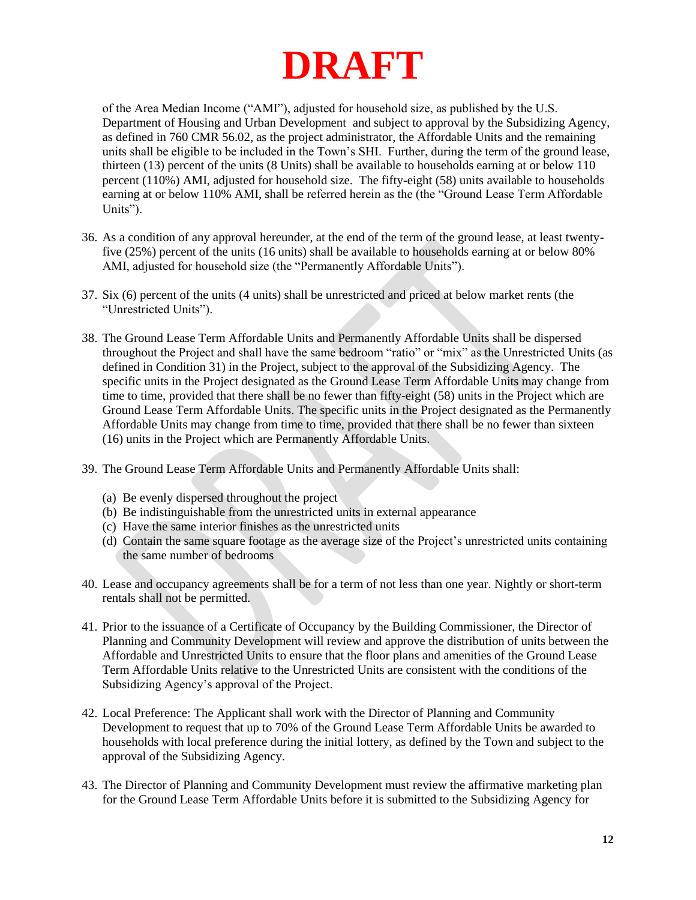

of the Area Median Income ("AMI"), adjusted for household size, as published by the U.S. Department of Housing and Urban Development and subject to approval by the Subsidizing Agency, as defined in 760 CMR 56.02, as the project administrator, the Affordable Units and the remaining units shall be eligible to be included in the Town's SHI. Further, during the term of the ground lease, thirteen (13) percent of the units (8 Units) shall be available to households earning at or below 110 percent (110%) AMI, adjusted for household size. The fifty-eight (58) units available to households earning at or below 110% AMI, shall be referred herein as the (the "Ground Lease Term Affordable Units").

- 36. As a condition of any approval hereunder, at the end of the term of the ground lease, at least twentyfive (25%) percent of the units (16 units) shall be available to households earning at or below 80% AMI, adjusted for household size (the "Permanently Affordable Units").
- 37. Six (6) percent of the units (4 units) shall be unrestricted and priced at below market rents (the "Unrestricted Units").
- 38. The Ground Lease Term Affordable Units and Permanently Affordable Units shall be dispersed throughout the Project and shall have the same bedroom "ratio" or "mix" as the Unrestricted Units (as defined in Condition 31) in the Project, subject to the approval of the Subsidizing Agency. The specific units in the Project designated as the Ground Lease Term Affordable Units may change from time to time, provided that there shall be no fewer than fifty-eight (58) units in the Project which are Ground Lease Term Affordable Units. The specific units in the Project designated as the Permanently Affordable Units may change from time to time, provided that there shall be no fewer than sixteen (16) units in the Project which are Permanently Affordable Units.
- 39. The Ground Lease Term Affordable Units and Permanently Affordable Units shall:
	- (a) Be evenly dispersed throughout the project
	- (b) Be indistinguishable from the unrestricted units in external appearance
	- (c) Have the same interior finishes as the unrestricted units
	- (d) Contain the same square footage as the average size of the Project's unrestricted units containing the same number of bedrooms
- 40. Lease and occupancy agreements shall be for a term of not less than one year. Nightly or short-term rentals shall not be permitted.
- 41. Prior to the issuance of a Certificate of Occupancy by the Building Commissioner, the Director of Planning and Community Development will review and approve the distribution of units between the Affordable and Unrestricted Units to ensure that the floor plans and amenities of the Ground Lease Term Affordable Units relative to the Unrestricted Units are consistent with the conditions of the Subsidizing Agency's approval of the Project.
- 42. Local Preference: The Applicant shall work with the Director of Planning and Community Development to request that up to 70% of the Ground Lease Term Affordable Units be awarded to households with local preference during the initial lottery, as defined by the Town and subject to the approval of the Subsidizing Agency.
- 43. The Director of Planning and Community Development must review the affirmative marketing plan for the Ground Lease Term Affordable Units before it is submitted to the Subsidizing Agency for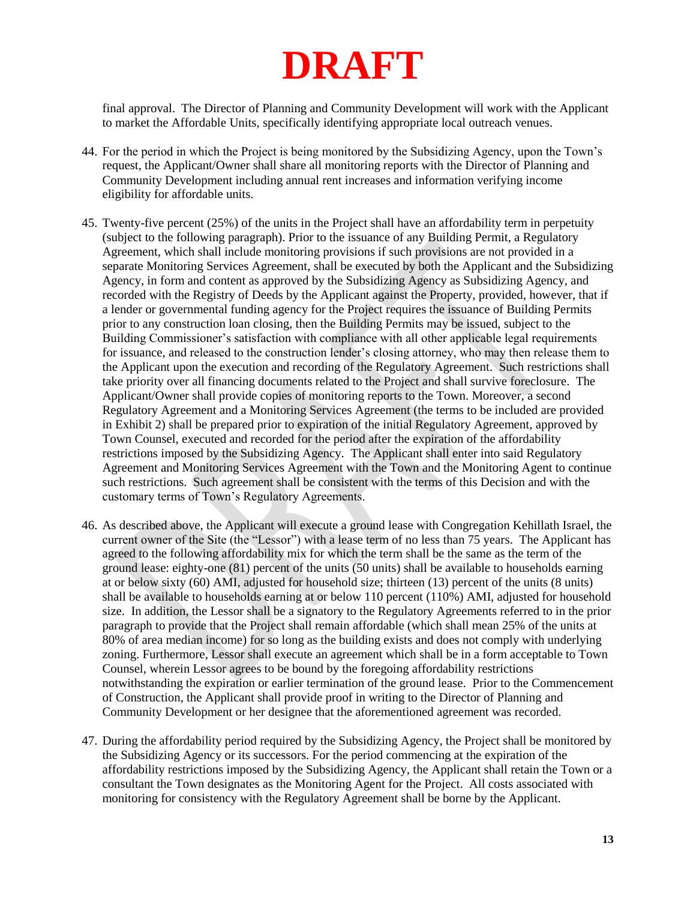final approval. The Director of Planning and Community Development will work with the Applicant to market the Affordable Units, specifically identifying appropriate local outreach venues.

- 44. For the period in which the Project is being monitored by the Subsidizing Agency, upon the Town's request, the Applicant/Owner shall share all monitoring reports with the Director of Planning and Community Development including annual rent increases and information verifying income eligibility for affordable units.
- 45. Twenty-five percent (25%) of the units in the Project shall have an affordability term in perpetuity (subject to the following paragraph). Prior to the issuance of any Building Permit, a Regulatory Agreement, which shall include monitoring provisions if such provisions are not provided in a separate Monitoring Services Agreement, shall be executed by both the Applicant and the Subsidizing Agency, in form and content as approved by the Subsidizing Agency as Subsidizing Agency, and recorded with the Registry of Deeds by the Applicant against the Property, provided, however, that if a lender or governmental funding agency for the Project requires the issuance of Building Permits prior to any construction loan closing, then the Building Permits may be issued, subject to the Building Commissioner's satisfaction with compliance with all other applicable legal requirements for issuance, and released to the construction lender's closing attorney, who may then release them to the Applicant upon the execution and recording of the Regulatory Agreement. Such restrictions shall take priority over all financing documents related to the Project and shall survive foreclosure. The Applicant/Owner shall provide copies of monitoring reports to the Town. Moreover, a second Regulatory Agreement and a Monitoring Services Agreement (the terms to be included are provided in Exhibit 2) shall be prepared prior to expiration of the initial Regulatory Agreement, approved by Town Counsel, executed and recorded for the period after the expiration of the affordability restrictions imposed by the Subsidizing Agency. The Applicant shall enter into said Regulatory Agreement and Monitoring Services Agreement with the Town and the Monitoring Agent to continue such restrictions. Such agreement shall be consistent with the terms of this Decision and with the customary terms of Town's Regulatory Agreements.
- 46. As described above, the Applicant will execute a ground lease with Congregation Kehillath Israel, the current owner of the Site (the "Lessor") with a lease term of no less than 75 years. The Applicant has agreed to the following affordability mix for which the term shall be the same as the term of the ground lease: eighty-one (81) percent of the units (50 units) shall be available to households earning at or below sixty (60) AMI, adjusted for household size; thirteen (13) percent of the units (8 units) shall be available to households earning at or below 110 percent (110%) AMI, adjusted for household size. In addition, the Lessor shall be a signatory to the Regulatory Agreements referred to in the prior paragraph to provide that the Project shall remain affordable (which shall mean 25% of the units at 80% of area median income) for so long as the building exists and does not comply with underlying zoning. Furthermore, Lessor shall execute an agreement which shall be in a form acceptable to Town Counsel, wherein Lessor agrees to be bound by the foregoing affordability restrictions notwithstanding the expiration or earlier termination of the ground lease. Prior to the Commencement of Construction, the Applicant shall provide proof in writing to the Director of Planning and Community Development or her designee that the aforementioned agreement was recorded.
- 47. During the affordability period required by the Subsidizing Agency, the Project shall be monitored by the Subsidizing Agency or its successors. For the period commencing at the expiration of the affordability restrictions imposed by the Subsidizing Agency, the Applicant shall retain the Town or a consultant the Town designates as the Monitoring Agent for the Project. All costs associated with monitoring for consistency with the Regulatory Agreement shall be borne by the Applicant.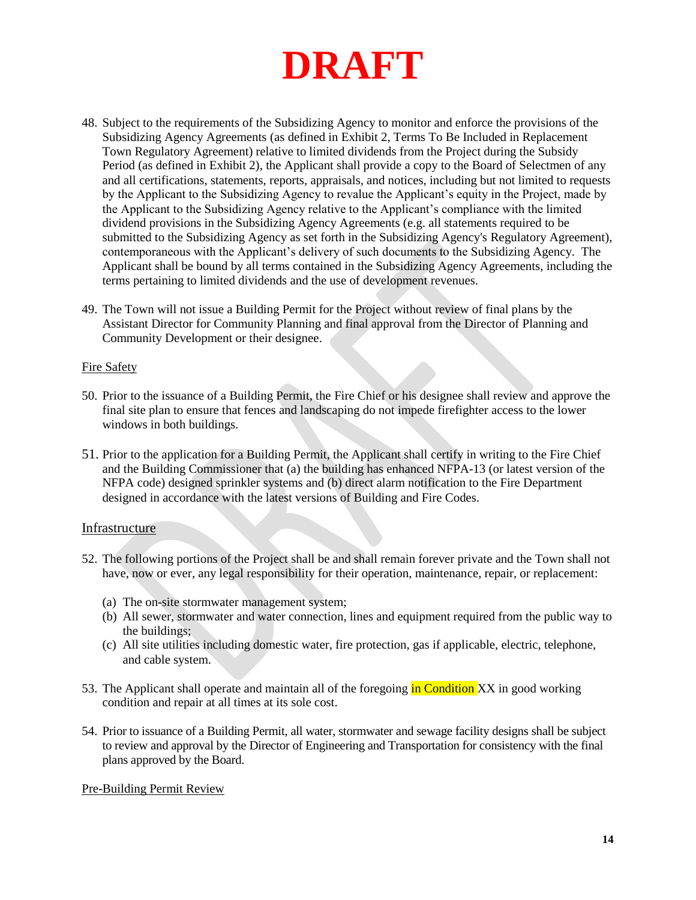

- 48. Subject to the requirements of the Subsidizing Agency to monitor and enforce the provisions of the Subsidizing Agency Agreements (as defined in Exhibit 2, Terms To Be Included in Replacement Town Regulatory Agreement) relative to limited dividends from the Project during the Subsidy Period (as defined in Exhibit 2), the Applicant shall provide a copy to the Board of Selectmen of any and all certifications, statements, reports, appraisals, and notices, including but not limited to requests by the Applicant to the Subsidizing Agency to revalue the Applicant's equity in the Project, made by the Applicant to the Subsidizing Agency relative to the Applicant's compliance with the limited dividend provisions in the Subsidizing Agency Agreements (e.g. all statements required to be submitted to the Subsidizing Agency as set forth in the Subsidizing Agency's Regulatory Agreement), contemporaneous with the Applicant's delivery of such documents to the Subsidizing Agency. The Applicant shall be bound by all terms contained in the Subsidizing Agency Agreements, including the terms pertaining to limited dividends and the use of development revenues.
- 49. The Town will not issue a Building Permit for the Project without review of final plans by the Assistant Director for Community Planning and final approval from the Director of Planning and Community Development or their designee.

#### Fire Safety

- 50. Prior to the issuance of a Building Permit, the Fire Chief or his designee shall review and approve the final site plan to ensure that fences and landscaping do not impede firefighter access to the lower windows in both buildings.
- 51. Prior to the application for a Building Permit, the Applicant shall certify in writing to the Fire Chief and the Building Commissioner that (a) the building has enhanced NFPA-13 (or latest version of the NFPA code) designed sprinkler systems and (b) direct alarm notification to the Fire Department designed in accordance with the latest versions of Building and Fire Codes.

#### Infrastructure

- 52. The following portions of the Project shall be and shall remain forever private and the Town shall not have, now or ever, any legal responsibility for their operation, maintenance, repair, or replacement:
	- (a) The on-site stormwater management system;
	- (b) All sewer, stormwater and water connection, lines and equipment required from the public way to the buildings;
	- (c) All site utilities including domestic water, fire protection, gas if applicable, electric, telephone, and cable system.
- 53. The Applicant shall operate and maintain all of the foregoing in Condition XX in good working condition and repair at all times at its sole cost.
- 54. Prior to issuance of a Building Permit, all water, stormwater and sewage facility designs shall be subject to review and approval by the Director of Engineering and Transportation for consistency with the final plans approved by the Board.

#### Pre-Building Permit Review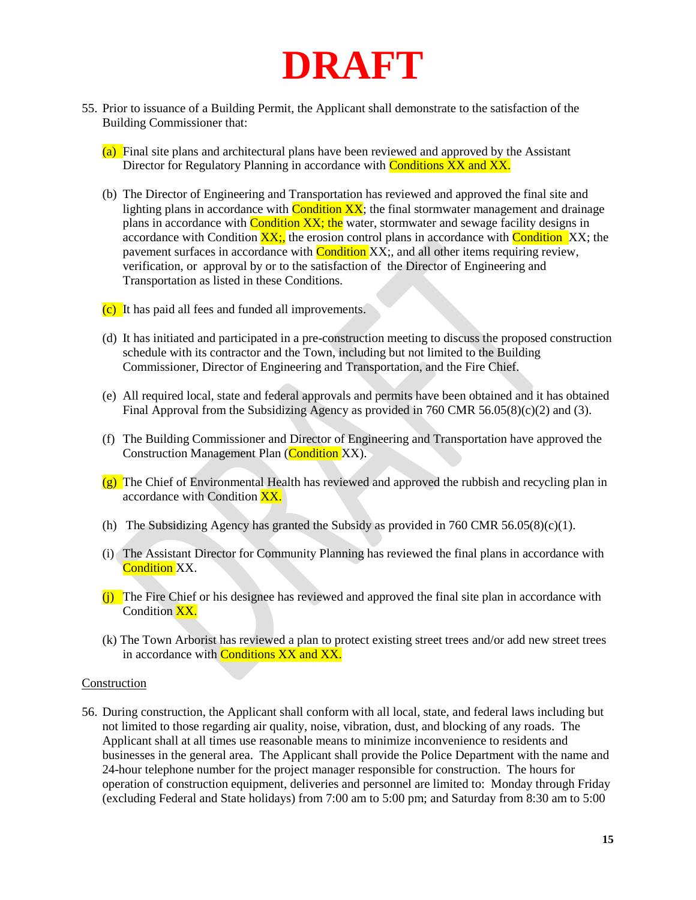

- 55. Prior to issuance of a Building Permit, the Applicant shall demonstrate to the satisfaction of the Building Commissioner that:
	- (a) Final site plans and architectural plans have been reviewed and approved by the Assistant Director for Regulatory Planning in accordance with **Conditions XX and XX**.
	- (b) The Director of Engineering and Transportation has reviewed and approved the final site and lighting plans in accordance with **Condition XX**; the final stormwater management and drainage plans in accordance with **Condition XX; the** water, stormwater and sewage facility designs in accordance with Condition  $\overline{XX}$ ; the erosion control plans in accordance with Condition  $XX$ ; the pavement surfaces in accordance with **Condition** XX;, and all other items requiring review, verification, or approval by or to the satisfaction of the Director of Engineering and Transportation as listed in these Conditions.
	- (c) It has paid all fees and funded all improvements.
	- (d) It has initiated and participated in a pre-construction meeting to discuss the proposed construction schedule with its contractor and the Town, including but not limited to the Building Commissioner, Director of Engineering and Transportation, and the Fire Chief.
	- (e) All required local, state and federal approvals and permits have been obtained and it has obtained Final Approval from the Subsidizing Agency as provided in 760 CMR 56.05(8)(c)(2) and (3).
	- (f) The Building Commissioner and Director of Engineering and Transportation have approved the Construction Management Plan (Condition XX).
	- $(g)$  The Chief of Environmental Health has reviewed and approved the rubbish and recycling plan in accordance with Condition **XX**.
	- (h) The Subsidizing Agency has granted the Subsidy as provided in 760 CMR 56.05(8)(c)(1).
	- (i) The Assistant Director for Community Planning has reviewed the final plans in accordance with Condition XX.
	- $(i)$  The Fire Chief or his designee has reviewed and approved the final site plan in accordance with Condition XX.
	- (k) The Town Arborist has reviewed a plan to protect existing street trees and/or add new street trees in accordance with **Conditions XX and XX**.

#### Construction

56. During construction, the Applicant shall conform with all local, state, and federal laws including but not limited to those regarding air quality, noise, vibration, dust, and blocking of any roads. The Applicant shall at all times use reasonable means to minimize inconvenience to residents and businesses in the general area. The Applicant shall provide the Police Department with the name and 24-hour telephone number for the project manager responsible for construction. The hours for operation of construction equipment, deliveries and personnel are limited to: Monday through Friday (excluding Federal and State holidays) from 7:00 am to 5:00 pm; and Saturday from 8:30 am to 5:00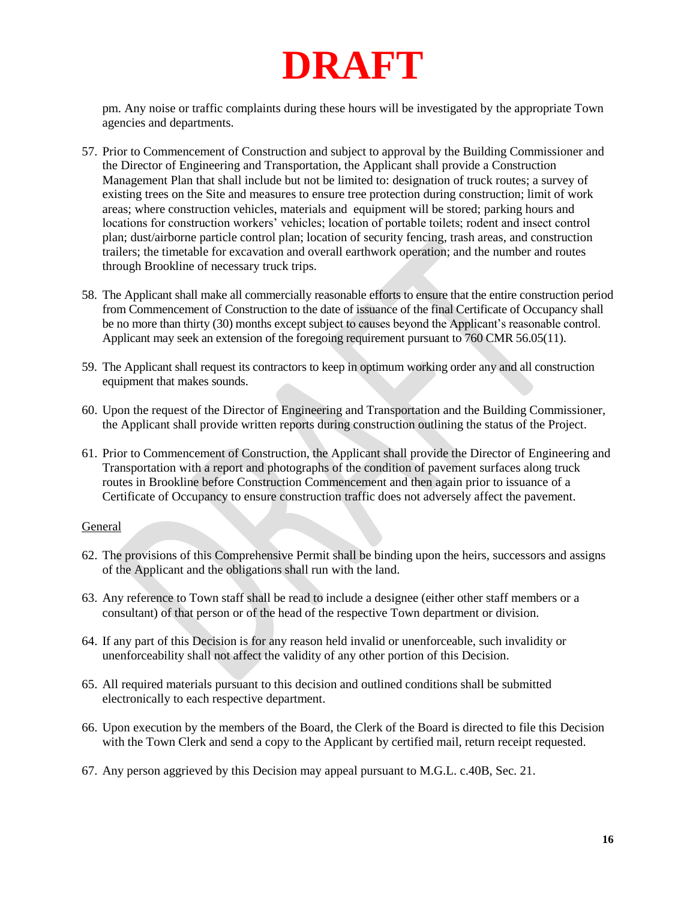

pm. Any noise or traffic complaints during these hours will be investigated by the appropriate Town agencies and departments.

- 57. Prior to Commencement of Construction and subject to approval by the Building Commissioner and the Director of Engineering and Transportation, the Applicant shall provide a Construction Management Plan that shall include but not be limited to: designation of truck routes; a survey of existing trees on the Site and measures to ensure tree protection during construction; limit of work areas; where construction vehicles, materials and equipment will be stored; parking hours and locations for construction workers' vehicles; location of portable toilets; rodent and insect control plan; dust/airborne particle control plan; location of security fencing, trash areas, and construction trailers; the timetable for excavation and overall earthwork operation; and the number and routes through Brookline of necessary truck trips.
- 58. The Applicant shall make all commercially reasonable efforts to ensure that the entire construction period from Commencement of Construction to the date of issuance of the final Certificate of Occupancy shall be no more than thirty (30) months except subject to causes beyond the Applicant's reasonable control. Applicant may seek an extension of the foregoing requirement pursuant to 760 CMR 56.05(11).
- 59. The Applicant shall request its contractors to keep in optimum working order any and all construction equipment that makes sounds.
- 60. Upon the request of the Director of Engineering and Transportation and the Building Commissioner, the Applicant shall provide written reports during construction outlining the status of the Project.
- 61. Prior to Commencement of Construction, the Applicant shall provide the Director of Engineering and Transportation with a report and photographs of the condition of pavement surfaces along truck routes in Brookline before Construction Commencement and then again prior to issuance of a Certificate of Occupancy to ensure construction traffic does not adversely affect the pavement.

#### General

- 62. The provisions of this Comprehensive Permit shall be binding upon the heirs, successors and assigns of the Applicant and the obligations shall run with the land.
- 63. Any reference to Town staff shall be read to include a designee (either other staff members or a consultant) of that person or of the head of the respective Town department or division.
- 64. If any part of this Decision is for any reason held invalid or unenforceable, such invalidity or unenforceability shall not affect the validity of any other portion of this Decision.
- 65. All required materials pursuant to this decision and outlined conditions shall be submitted electronically to each respective department.
- 66. Upon execution by the members of the Board, the Clerk of the Board is directed to file this Decision with the Town Clerk and send a copy to the Applicant by certified mail, return receipt requested.
- 67. Any person aggrieved by this Decision may appeal pursuant to M.G.L. c.40B, Sec. 21.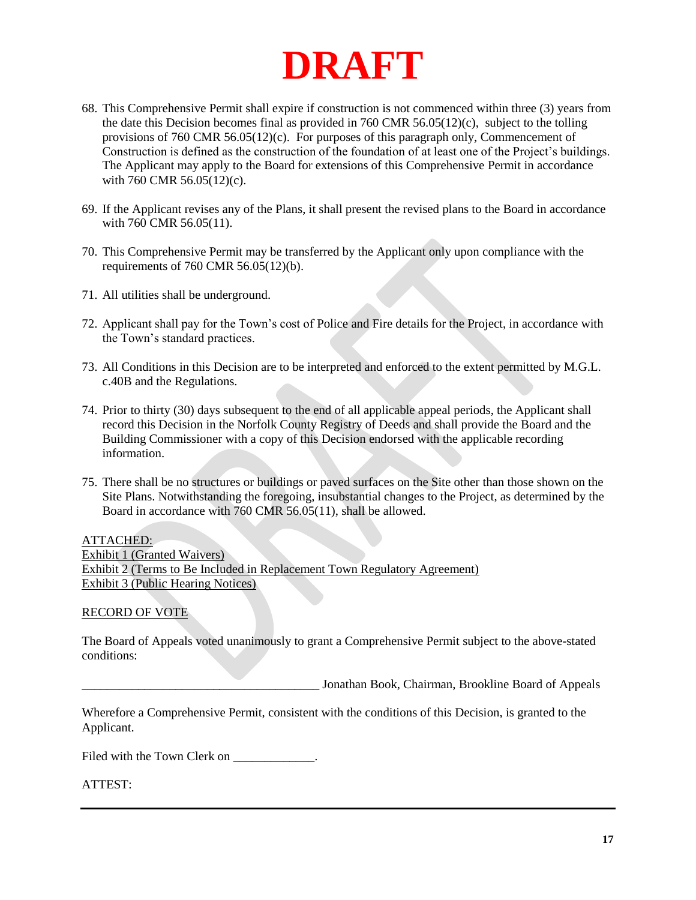

- 68. This Comprehensive Permit shall expire if construction is not commenced within three (3) years from the date this Decision becomes final as provided in 760 CMR 56.05(12)(c), subject to the tolling provisions of 760 CMR 56.05(12)(c). For purposes of this paragraph only, Commencement of Construction is defined as the construction of the foundation of at least one of the Project's buildings. The Applicant may apply to the Board for extensions of this Comprehensive Permit in accordance with 760 CMR 56.05(12)(c).
- 69. If the Applicant revises any of the Plans, it shall present the revised plans to the Board in accordance with 760 CMR 56.05(11).
- 70. This Comprehensive Permit may be transferred by the Applicant only upon compliance with the requirements of 760 CMR 56.05(12)(b).
- 71. All utilities shall be underground.
- 72. Applicant shall pay for the Town's cost of Police and Fire details for the Project, in accordance with the Town's standard practices.
- 73. All Conditions in this Decision are to be interpreted and enforced to the extent permitted by M.G.L. c.40B and the Regulations.
- 74. Prior to thirty (30) days subsequent to the end of all applicable appeal periods, the Applicant shall record this Decision in the Norfolk County Registry of Deeds and shall provide the Board and the Building Commissioner with a copy of this Decision endorsed with the applicable recording information.
- 75. There shall be no structures or buildings or paved surfaces on the Site other than those shown on the Site Plans. Notwithstanding the foregoing, insubstantial changes to the Project, as determined by the Board in accordance with 760 CMR 56.05(11), shall be allowed.

ATTACHED: Exhibit 1 (Granted Waivers) Exhibit 2 (Terms to Be Included in Replacement Town Regulatory Agreement) Exhibit 3 (Public Hearing Notices)

### RECORD OF VOTE

The Board of Appeals voted unanimously to grant a Comprehensive Permit subject to the above-stated conditions:

\_\_\_\_\_\_\_\_\_\_\_\_\_\_\_\_\_\_\_\_\_\_\_\_\_\_\_\_\_\_\_\_\_\_\_\_\_\_ Jonathan Book, Chairman, Brookline Board of Appeals

Wherefore a Comprehensive Permit, consistent with the conditions of this Decision, is granted to the Applicant.

Filed with the Town Clerk on \_\_\_\_\_\_\_\_\_\_\_\_.

ATTEST: